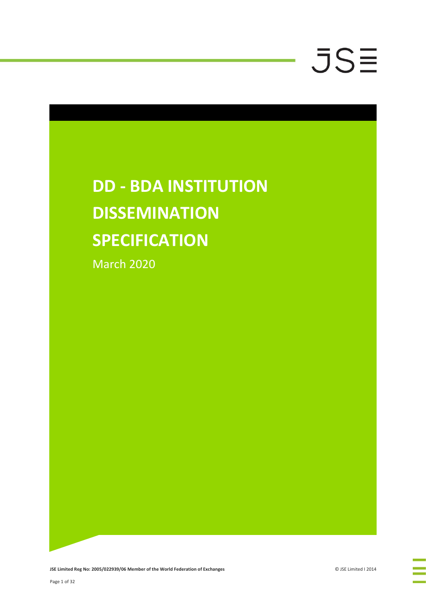### **DD - BDA INSTITUTION DISSEMINATION SPECIFICATION** March 2020

**JSE Limited Reg No: 2005/022939/06 Member of the World Federation of Exchanges Consumers and COSE Limited I 2014**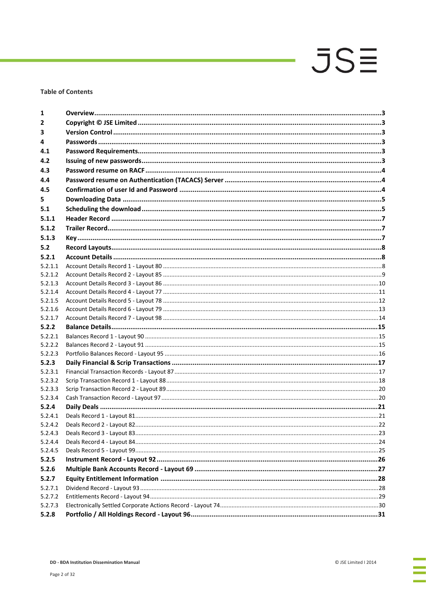### **Table of Contents**

| 1                  |  |
|--------------------|--|
| $\overline{2}$     |  |
| 3                  |  |
| 4                  |  |
| 4.1                |  |
| 4.2                |  |
| 4.3                |  |
| 4.4                |  |
| 4.5                |  |
| 5.                 |  |
| 5.1                |  |
| 5.1.1              |  |
| 5.1.2              |  |
| 5.1.3              |  |
| 5.2                |  |
|                    |  |
| 5.2.1              |  |
| 5.2.1.1            |  |
| 5.2.1.2            |  |
| 5.2.1.3            |  |
| 5.2.1.4<br>5.2.1.5 |  |
| 5.2.1.6            |  |
| 5.2.1.7            |  |
| 5.2.2              |  |
| 5.2.2.1            |  |
| 5.2.2.2            |  |
|                    |  |
| 5.2.2.3            |  |
| 5.2.3              |  |
| 5.2.3.1<br>5.2.3.2 |  |
| 5.2.3.3            |  |
| 5.2.3.4            |  |
| 5.2.4              |  |
| 5.2.4.1            |  |
| 5.2.4.2            |  |
| 5.2.4.3            |  |
| 5.2.4.4            |  |
| 5.2.4.5            |  |
| 5.2.5              |  |
| 5.2.6              |  |
| 5.2.7              |  |
| 5.2.7.1            |  |
| 5.2.7.2            |  |
| 5.2.7.3            |  |
| 5.2.8              |  |
|                    |  |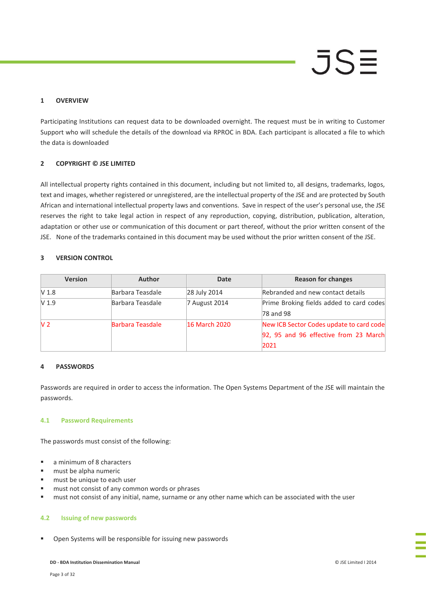### $JS =$

### **1 OVERVIEW**

Participating Institutions can request data to be downloaded overnight. The request must be in writing to Customer Support who will schedule the details of the download via RPROC in BDA. Each participant is allocated a file to which the data is downloaded

### **2 COPYRIGHT © JSE LIMITED**

All intellectual property rights contained in this document, including but not limited to, all designs, trademarks, logos, text and images, whether registered or unregistered, are the intellectual property of the JSE and are protected by South African and international intellectual property laws and conventions. Save in respect of the user's personal use, the JSE reserves the right to take legal action in respect of any reproduction, copying, distribution, publication, alteration, adaptation or other use or communication of this document or part thereof, without the prior written consent of the JSE. None of the trademarks contained in this document may be used without the prior written consent of the JSE.

### **3 VERSION CONTROL**

| <b>Version</b>   | <b>Author</b>           | Date          | <b>Reason for changes</b>                                                                 |
|------------------|-------------------------|---------------|-------------------------------------------------------------------------------------------|
| V <sub>1.8</sub> | Barbara Teasdale        | 28 July 2014  | Rebranded and new contact details                                                         |
| V <sub>1.9</sub> | Barbara Teasdale        | 7 August 2014 | Prime Broking fields added to card codes<br>78 and 98                                     |
| V <sub>2</sub>   | <b>Barbara Teasdale</b> | 16 March 2020 | New ICB Sector Codes update to card code<br>92, 95 and 96 effective from 23 March<br>2021 |

### **4 PASSWORDS**

Passwords are required in order to access the information. The Open Systems Department of the JSE will maintain the passwords.

### **4.1 Password Requirements**

The passwords must consist of the following:

- a minimum of 8 characters
- **must be alpha numeric**
- must be unique to each user
- must not consist of any common words or phrases
- must not consist of any initial, name, surname or any other name which can be associated with the user

### **4.2 Issuing of new passwords**

Open Systems will be responsible for issuing new passwords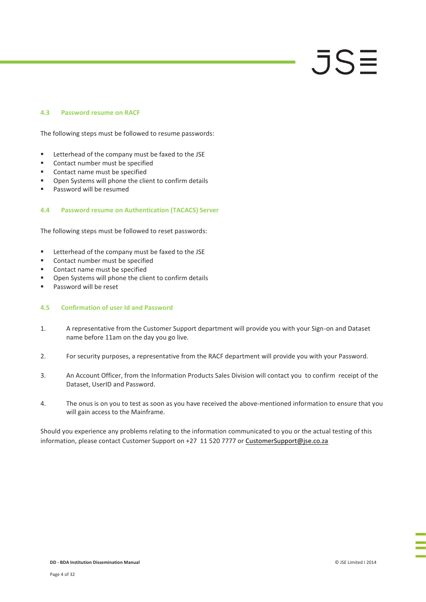### **4.3 Password resume on RACF**

The following steps must be followed to resume passwords:

- **EXECUTE:** Letterhead of the company must be faxed to the JSE
- Contact number must be specified
- Contact name must be specified
- **•** Open Systems will phone the client to confirm details
- **Password will be resumed**

### **4.4 Password resume on Authentication (TACACS) Server**

The following steps must be followed to reset passwords:

- **EXECUTE:** Letterhead of the company must be faxed to the JSE
- **Contact number must be specified**
- Contact name must be specified
- **•** Open Systems will phone the client to confirm details
- **Password will be reset**

### **4.5 Confirmation of user Id and Password**

- 1. A representative from the Customer Support department will provide you with your Sign-on and Dataset name before 11am on the day you go live.
- 2. For security purposes, a representative from the RACF department will provide you with your Password.
- 3. An Account Officer, from the Information Products Sales Division will contact you to confirm receipt of the Dataset, UserID and Password.
- 4. The onus is on you to test as soon as you have received the above-mentioned information to ensure that you will gain access to the Mainframe.

Should you experience any problems relating to the information communicated to you or the actual testing of this information, please contact Customer Support on +27 11 520 7777 or [CustomerSupport@jse.co.za](mailto:CustomerSupport@jse.co.za)

JSE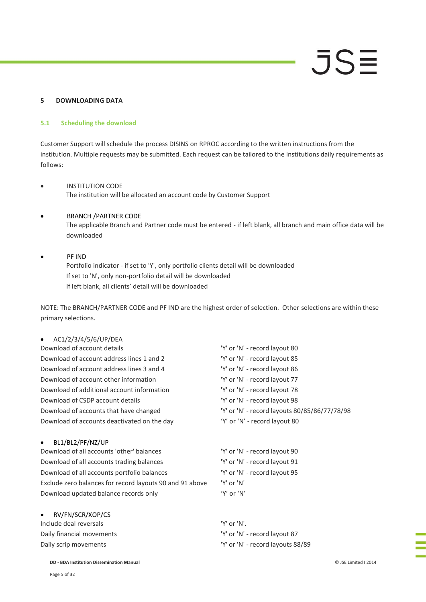### **5 DOWNLOADING DATA**

### **5.1 Scheduling the download**

Customer Support will schedule the process DISINS on RPROC according to the written instructions from the institution. Multiple requests may be submitted. Each request can be tailored to the Institutions daily requirements as follows:

### INSTITUTION CODE The institution will be allocated an account code by Customer Support

### BRANCH /PARTNER CODE

The applicable Branch and Partner code must be entered - if left blank, all branch and main office data will be downloaded

### PF IND Portfolio indicator - if set to 'Y', only portfolio clients detail will be downloaded If set to 'N', only non-portfolio detail will be downloaded If left blank, all clients' detail will be downloaded

NOTE: The BRANCH/PARTNER CODE and PF IND are the highest order of selection. Other selections are within these primary selections.

### AC1/2/3/4/5/6/UP/DEA

| Download of account details                 | 'Y' or 'N' - record layout 80                 |
|---------------------------------------------|-----------------------------------------------|
| Download of account address lines 1 and 2   | 'Y' or 'N' - record layout 85                 |
| Download of account address lines 3 and 4   | 'Y' or 'N' - record layout 86                 |
| Download of account other information       | 'Y' or 'N' - record layout 77                 |
| Download of additional account information  | 'Y' or 'N' - record layout 78                 |
| Download of CSDP account details            | 'Y' or 'N' - record layout 98                 |
| Download of accounts that have changed      | 'Y' or 'N' - record layouts 80/85/86/77/78/98 |
| Download of accounts deactivated on the day | 'Y' or 'N' - record layout 80                 |
|                                             |                                               |

### BL1/BL2/PF/NZ/UP

Download of all accounts 'other' balances 'Y' or 'N' - record layout 90 Download of all accounts trading balances 'Y' or 'N' - record layout 91 Download of all accounts portfolio balances 'Y' or 'N' - record layout 95 Exclude zero balances for record layouts 90 and 91 above 'Y' or 'N' Download updated balance records only 'Y' or 'N'

 RV/FN/SCR/XOP/CS Include deal reversals 'Y' or 'N'. Daily financial movements 'Y' or 'N' - record layout 87

Daily scrip movements The Community of 'N' - record layouts 88/89

**DD - BDA Institution Dissemination Manual** © JSE Limited I 2014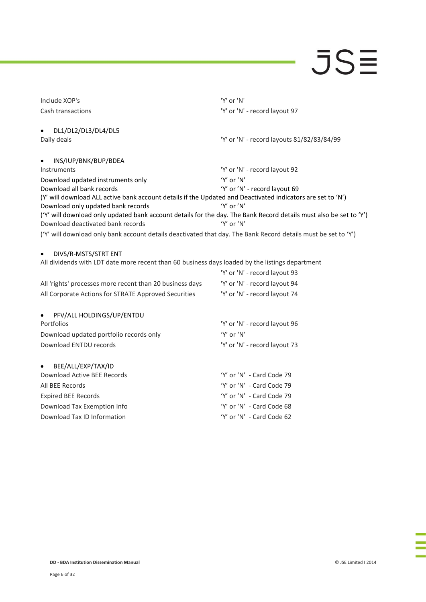| Include XOP's                                                                                                                                           | 'Y' or 'N'                                 |
|---------------------------------------------------------------------------------------------------------------------------------------------------------|--------------------------------------------|
| Cash transactions                                                                                                                                       | 'Y' or 'N' - record layout 97              |
|                                                                                                                                                         |                                            |
| DL1/DL2/DL3/DL4/DL5<br>$\bullet$                                                                                                                        |                                            |
| Daily deals                                                                                                                                             | 'Y' or 'N' - record layouts 81/82/83/84/99 |
| INS/IUP/BNK/BUP/BDEA<br>$\bullet$                                                                                                                       |                                            |
| Instruments                                                                                                                                             | 'Y' or 'N' - record layout 92              |
| Download updated instruments only                                                                                                                       | $'Y'$ or $'N'$                             |
| Download all bank records                                                                                                                               | 'Y' or 'N' - record layout 69              |
| (Y' will download ALL active bank account details if the Updated and Deactivated indicators are set to 'N')                                             |                                            |
| Download only updated bank records                                                                                                                      | 'Y' or 'N'                                 |
| ('Y' will download only updated bank account details for the day. The Bank Record details must also be set to 'Y')<br>Download deactivated bank records | 'Y' or 'N'                                 |
| ('Y' will download only bank account details deactivated that day. The Bank Record details must be set to 'Y')                                          |                                            |
|                                                                                                                                                         |                                            |
| DIVS/R-MSTS/STRT ENT<br>$\bullet$                                                                                                                       |                                            |
| All dividends with LDT date more recent than 60 business days loaded by the listings department                                                         |                                            |
|                                                                                                                                                         | 'Y' or 'N' - record layout 93              |
| All 'rights' processes more recent than 20 business days                                                                                                | 'Y' or 'N' - record layout 94              |
| All Corporate Actions for STRATE Approved Securities                                                                                                    | 'Y' or 'N' - record layout 74              |
| PFV/ALL HOLDINGS/UP/ENTDU                                                                                                                               |                                            |
| Portfolios                                                                                                                                              | 'Y' or 'N' - record layout 96              |
| Download updated portfolio records only                                                                                                                 | 'Y' or 'N'                                 |
| Download ENTDU records                                                                                                                                  | 'Y' or 'N' - record layout 73              |
|                                                                                                                                                         |                                            |
| BEE/ALL/EXP/TAX/ID<br>Download Active BEE Records                                                                                                       | 'Y' or 'N' - Card Code 79                  |
|                                                                                                                                                         |                                            |
| All BEE Records                                                                                                                                         | 'Y' or 'N' - Card Code 79                  |
| <b>Expired BEE Records</b>                                                                                                                              | 'Y' or 'N' - Card Code 79                  |
| Download Tax Exemption Info                                                                                                                             | 'Y' or 'N' - Card Code 68                  |
| Download Tax ID Information                                                                                                                             | 'Y' or 'N' - Card Code 62                  |

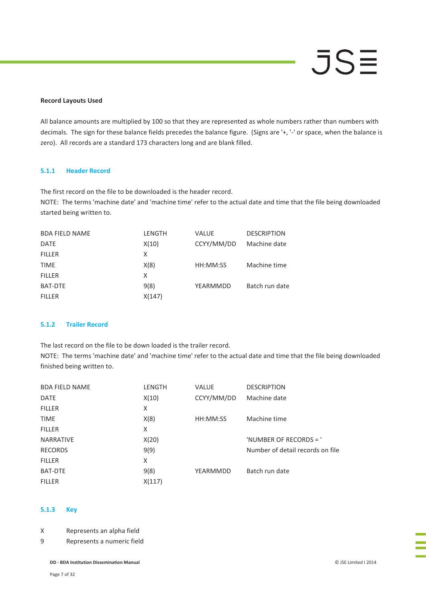### **Record Layouts Used**

All balance amounts are multiplied by 100 so that they are represented as whole numbers rather than numbers with decimals. The sign for these balance fields precedes the balance figure. (Signs are '+, '-' or space, when the balance is zero). All records are a standard 173 characters long and are blank filled.

### **5.1.1 Header Record**

The first record on the file to be downloaded is the header record.

NOTE: The terms 'machine date' and 'machine time' refer to the actual date and time that the file being downloaded started being written to.

| <b>LENGTH</b> | <b>VALUE</b> | <b>DESCRIPTION</b> |
|---------------|--------------|--------------------|
| X(10)         | CCYY/MM/DD   | Machine date       |
| x             |              |                    |
| X(8)          | HH:MM:SS     | Machine time       |
| X             |              |                    |
| 9(8)          | YEARMMDD     | Batch run date     |
| X(147)        |              |                    |
|               |              |                    |

### **5.1.2 Trailer Record**

The last record on the file to be down loaded is the trailer record. NOTE: The terms 'machine date' and 'machine time' refer to the actual date and time that the file being downloaded

finished being written to.

| <b>BDA FIELD NAME</b> | LENGTH | <b>VALUE</b> | <b>DESCRIPTION</b>               |
|-----------------------|--------|--------------|----------------------------------|
| <b>DATE</b>           | X(10)  | CCYY/MM/DD   | Machine date                     |
| <b>FILLER</b>         | X      |              |                                  |
| <b>TIME</b>           | X(8)   | HH:MM:SS     | Machine time                     |
| <b>FILLER</b>         | X      |              |                                  |
| <b>NARRATIVE</b>      | X(20)  |              | 'NUMBER OF RECORDS = '           |
| <b>RECORDS</b>        | 9(9)   |              | Number of detail records on file |
| <b>FILLER</b>         | X      |              |                                  |
| <b>BAT-DTE</b>        | 9(8)   | YEARMMDD     | Batch run date                   |
| <b>FILLER</b>         | X(117) |              |                                  |

### **5.1.3 Key**

X Represents an alpha field

9 Represents a numeric field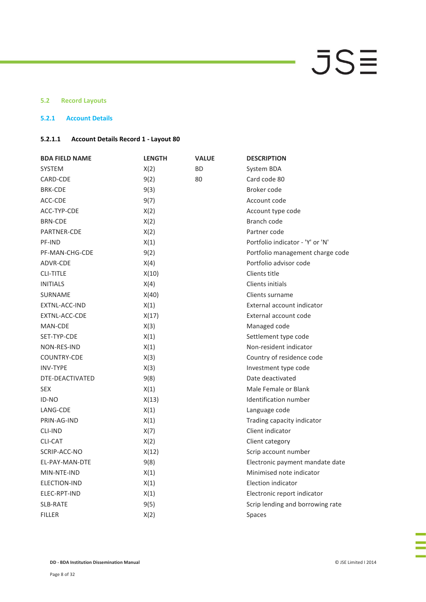### **5.2 Record Layouts**

### **5.2.1 Account Details**

### **5.2.1.1 Account Details Record 1 - Layout 80**

| <b>BDA FIELD NAME</b> | <b>LENGTH</b> | <b>VALUE</b> | <b>DESCRIPTION</b>               |
|-----------------------|---------------|--------------|----------------------------------|
| <b>SYSTEM</b>         | X(2)          | <b>BD</b>    | System BDA                       |
| CARD-CDE              | 9(2)          | 80           | Card code 80                     |
| <b>BRK-CDE</b>        | 9(3)          |              | Broker code                      |
| ACC-CDE               | 9(7)          |              | Account code                     |
| ACC-TYP-CDE           | X(2)          |              | Account type code                |
| <b>BRN-CDE</b>        | X(2)          |              | Branch code                      |
| <b>PARTNER-CDE</b>    | X(2)          |              | Partner code                     |
| PF-IND                | X(1)          |              | Portfolio indicator - 'Y' or 'N' |
| PF-MAN-CHG-CDE        | 9(2)          |              | Portfolio management charge code |
| ADVR-CDE              | X(4)          |              | Portfolio advisor code           |
| <b>CLI-TITLE</b>      | X(10)         |              | Clients title                    |
| <b>INITIALS</b>       | X(4)          |              | Clients initials                 |
| <b>SURNAME</b>        | X(40)         |              | Clients surname                  |
| EXTNL-ACC-IND         | X(1)          |              | External account indicator       |
| EXTNL-ACC-CDE         | X(17)         |              | External account code            |
| MAN-CDE               | X(3)          |              | Managed code                     |
| SET-TYP-CDE           | X(1)          |              | Settlement type code             |
| NON-RES-IND           | X(1)          |              | Non-resident indicator           |
| COUNTRY-CDE           | X(3)          |              | Country of residence code        |
| <b>INV-TYPE</b>       | X(3)          |              | Investment type code             |
| DTE-DEACTIVATED       | 9(8)          |              | Date deactivated                 |
| <b>SEX</b>            | X(1)          |              | Male Female or Blank             |
| ID-NO                 | X(13)         |              | Identification number            |
| LANG-CDE              | X(1)          |              | Language code                    |
| PRIN-AG-IND           | X(1)          |              | Trading capacity indicator       |
| <b>CLI-IND</b>        | X(7)          |              | Client indicator                 |
| <b>CLI-CAT</b>        | X(2)          |              | Client category                  |
| SCRIP-ACC-NO          | X(12)         |              | Scrip account number             |
| EL-PAY-MAN-DTE        | 9(8)          |              | Electronic payment mandate date  |
| MIN-NTE-IND           | X(1)          |              | Minimised note indicator         |
| ELECTION-IND          | X(1)          |              | <b>Election indicator</b>        |
| ELEC-RPT-IND          | X(1)          |              | Electronic report indicator      |
| <b>SLB-RATE</b>       | 9(5)          |              | Scrip lending and borrowing rate |
| <b>FILLER</b>         | X(2)          |              | Spaces                           |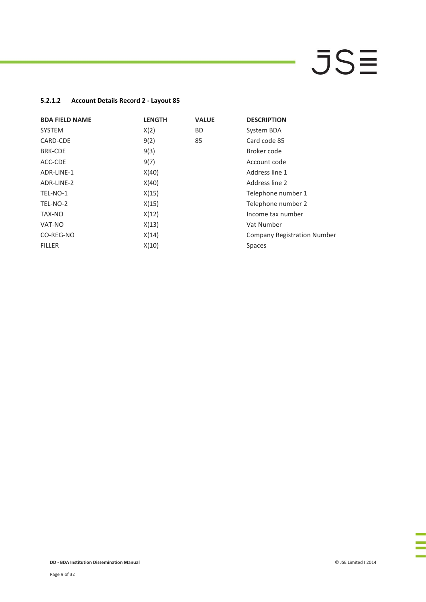### **5.2.1.2 Account Details Record 2 - Layout 85**

| <b>BDA FIELD NAME</b> | <b>LENGTH</b> | <b>VALUE</b> | <b>DESCRIPTION</b>                 |
|-----------------------|---------------|--------------|------------------------------------|
| <b>SYSTEM</b>         | X(2)          | BD.          | System BDA                         |
| CARD-CDE              | 9(2)          | 85           | Card code 85                       |
| <b>BRK-CDE</b>        | 9(3)          |              | Broker code                        |
| ACC-CDE               | 9(7)          |              | Account code                       |
| ADR-LINE-1            | X(40)         |              | Address line 1                     |
| ADR-LINE-2            | X(40)         |              | Address line 2                     |
| TEL-NO-1              | X(15)         |              | Telephone number 1                 |
| TEL-NO-2              | X(15)         |              | Telephone number 2                 |
| TAX-NO                | X(12)         |              | Income tax number                  |
| VAT-NO                | X(13)         |              | Vat Number                         |
| CO-REG-NO             | X(14)         |              | <b>Company Registration Number</b> |
| <b>FILLER</b>         | X(10)         |              | <b>Spaces</b>                      |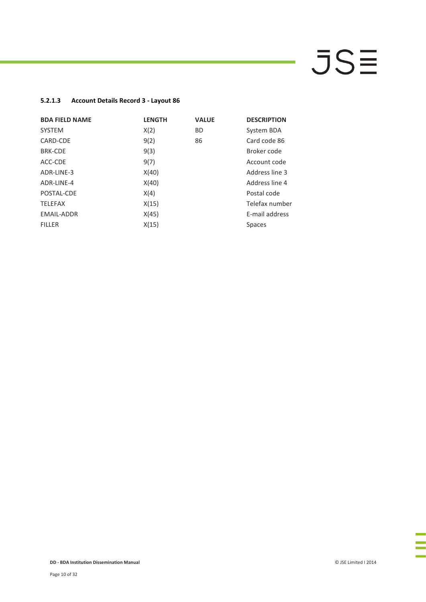### **5.2.1.3 Account Details Record 3 - Layout 86**

| <b>BDA FIELD NAME</b> | <b>LENGTH</b> | <b>VALUE</b> | <b>DESCRIPTION</b> |
|-----------------------|---------------|--------------|--------------------|
| <b>SYSTEM</b>         | X(2)          | <b>BD</b>    | System BDA         |
| CARD-CDE              | 9(2)          | 86           | Card code 86       |
| <b>BRK-CDE</b>        | 9(3)          |              | Broker code        |
| ACC-CDE               | 9(7)          |              | Account code       |
| ADR-LINE-3            | X(40)         |              | Address line 3     |
| ADR-LINE-4            | X(40)         |              | Address line 4     |
| POSTAL-CDE            | X(4)          |              | Postal code        |
| <b>TELEFAX</b>        | X(15)         |              | Telefax number     |
| <b>EMAIL-ADDR</b>     | X(45)         |              | E-mail address     |
| <b>FILLER</b>         | X(15)         |              | <b>Spaces</b>      |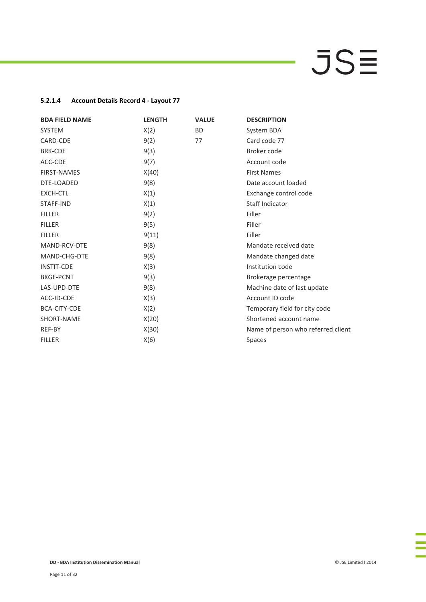### **5.2.1.4 Account Details Record 4 - Layout 77**

| <b>BDA FIELD NAME</b> | <b>LENGTH</b> | <b>VALUE</b> | <b>DESCRIPTION</b>                 |
|-----------------------|---------------|--------------|------------------------------------|
| <b>SYSTEM</b>         | X(2)          | <b>BD</b>    | System BDA                         |
| CARD-CDE              | 9(2)          | 77           | Card code 77                       |
| <b>BRK-CDE</b>        | 9(3)          |              | Broker code                        |
| ACC-CDE               | 9(7)          |              | Account code                       |
| <b>FIRST-NAMES</b>    | X(40)         |              | <b>First Names</b>                 |
| DTE-LOADED            | 9(8)          |              | Date account loaded                |
| EXCH-CTL              | X(1)          |              | Exchange control code              |
| STAFF-IND             | X(1)          |              | Staff Indicator                    |
| <b>FILLER</b>         | 9(2)          |              | Filler                             |
| <b>FILLER</b>         | 9(5)          |              | Filler                             |
| <b>FILLER</b>         | 9(11)         |              | Filler                             |
| MAND-RCV-DTE          | 9(8)          |              | Mandate received date              |
| MAND-CHG-DTE          | 9(8)          |              | Mandate changed date               |
| <b>INSTIT-CDE</b>     | X(3)          |              | Institution code                   |
| <b>BKGE-PCNT</b>      | 9(3)          |              | Brokerage percentage               |
| LAS-UPD-DTE           | 9(8)          |              | Machine date of last update        |
| ACC-ID-CDE            | X(3)          |              | Account ID code                    |
| <b>BCA-CITY-CDE</b>   | X(2)          |              | Temporary field for city code      |
| SHORT-NAME            | X(20)         |              | Shortened account name             |
| REF-BY                | X(30)         |              | Name of person who referred client |
| <b>FILLER</b>         | X(6)          |              | <b>Spaces</b>                      |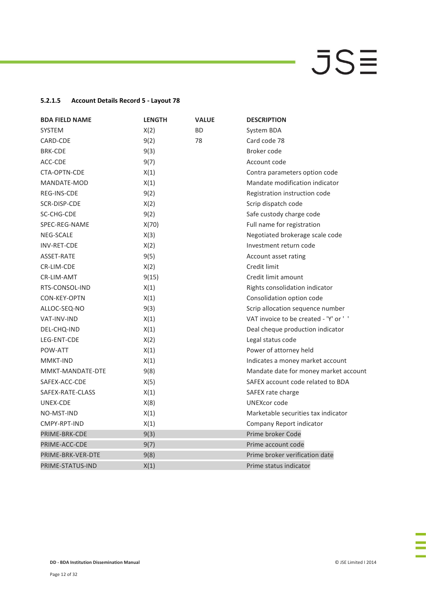### **5.2.1.5 Account Details Record 5 - Layout 78**

| <b>BDA FIELD NAME</b> | <b>LENGTH</b> | <b>VALUE</b> | <b>DESCRIPTION</b>                    |
|-----------------------|---------------|--------------|---------------------------------------|
| <b>SYSTEM</b>         | X(2)          | <b>BD</b>    | System BDA                            |
| CARD-CDE              | 9(2)          | 78           | Card code 78                          |
| <b>BRK-CDE</b>        | 9(3)          |              | Broker code                           |
| ACC-CDE               | 9(7)          |              | Account code                          |
| CTA-OPTN-CDE          | X(1)          |              | Contra parameters option code         |
| MANDATE-MOD           | X(1)          |              | Mandate modification indicator        |
| REG-INS-CDE           | 9(2)          |              | Registration instruction code         |
| SCR-DISP-CDE          | X(2)          |              | Scrip dispatch code                   |
| SC-CHG-CDE            | 9(2)          |              | Safe custody charge code              |
| SPEC-REG-NAME         | X(70)         |              | Full name for registration            |
| <b>NEG-SCALE</b>      | X(3)          |              | Negotiated brokerage scale code       |
| <b>INV-RET-CDE</b>    | X(2)          |              | Investment return code                |
| ASSET-RATE            | 9(5)          |              | Account asset rating                  |
| CR-LIM-CDE            | X(2)          |              | Credit limit                          |
| <b>CR-LIM-AMT</b>     | 9(15)         |              | Credit limit amount                   |
| RTS-CONSOL-IND        | X(1)          |              | Rights consolidation indicator        |
| CON-KEY-OPTN          | X(1)          |              | Consolidation option code             |
| ALLOC-SEQ-NO          | 9(3)          |              | Scrip allocation sequence number      |
| VAT-INV-IND           | X(1)          |              | VAT invoice to be created - 'Y' or '' |
| DEL-CHQ-IND           | X(1)          |              | Deal cheque production indicator      |
| LEG-ENT-CDE           | X(2)          |              | Legal status code                     |
| POW-ATT               | X(1)          |              | Power of attorney held                |
| <b>MMKT-IND</b>       | X(1)          |              | Indicates a money market account      |
| MMKT-MANDATE-DTE      | 9(8)          |              | Mandate date for money market account |
| SAFEX-ACC-CDE         | X(5)          |              | SAFEX account code related to BDA     |
| SAFEX-RATE-CLASS      | X(1)          |              | SAFEX rate charge                     |
| UNEX-CDE              | X(8)          |              | UNEXcor code                          |
| NO-MST-IND            | X(1)          |              | Marketable securities tax indicator   |
| CMPY-RPT-IND          | X(1)          |              | Company Report indicator              |
| PRIME-BRK-CDE         | 9(3)          |              | Prime broker Code                     |
| PRIME-ACC-CDE         | 9(7)          |              | Prime account code                    |
| PRIME-BRK-VER-DTE     | 9(8)          |              | Prime broker verification date        |
| PRIME-STATUS-IND      | X(1)          |              | Prime status indicator                |

÷,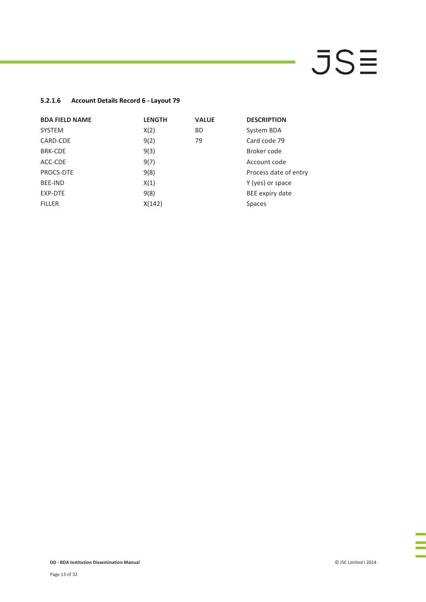### **5.2.1.6 Account Details Record 6 - Layout 79**

| <b>BDA FIELD NAME</b> | <b>LENGTH</b> | <b>VALUE</b> | <b>DESCRIPTION</b>    |
|-----------------------|---------------|--------------|-----------------------|
| <b>SYSTEM</b>         | X(2)          | <b>BD</b>    | System BDA            |
| CARD-CDE              | 9(2)          | 79           | Card code 79          |
| <b>BRK-CDE</b>        | 9(3)          |              | Broker code           |
| ACC-CDE               | 9(7)          |              | Account code          |
| PROCS-DTE             | 9(8)          |              | Process date of entry |
| BFF-IND               | X(1)          |              | Y (yes) or space      |
| EXP-DTE               | 9(8)          |              | BEE expiry date       |
| <b>FILLER</b>         | X(142)        |              | <b>Spaces</b>         |

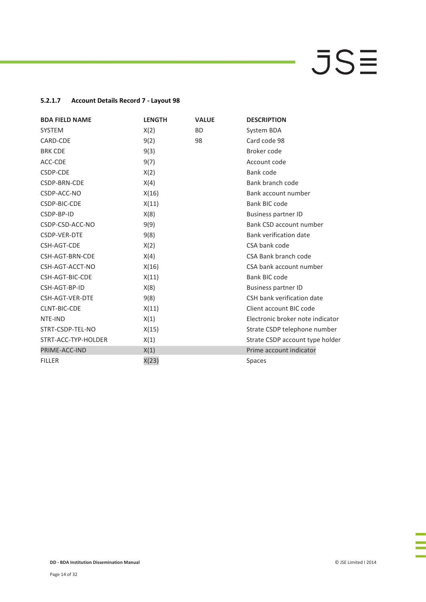### **5.2.1.7 Account Details Record 7 - Layout 98**

| <b>BDA FIELD NAME</b> | <b>LENGTH</b> | <b>VALUE</b> | <b>DESCRIPTION</b>               |
|-----------------------|---------------|--------------|----------------------------------|
| <b>SYSTEM</b>         | X(2)          | <b>BD</b>    | System BDA                       |
| CARD-CDE              | 9(2)          | 98           | Card code 98                     |
| <b>BRK CDE</b>        | 9(3)          |              | Broker code                      |
| ACC-CDE               | 9(7)          |              | Account code                     |
| CSDP-CDE              | X(2)          |              | Bank code                        |
| CSDP-BRN-CDE          | X(4)          |              | Bank branch code                 |
| CSDP-ACC-NO           | X(16)         |              | Bank account number              |
| CSDP-BIC-CDE          | X(11)         |              | Bank BIC code                    |
| CSDP-BP-ID            | X(8)          |              | <b>Business partner ID</b>       |
| CSDP-CSD-ACC-NO       | 9(9)          |              | Bank CSD account number          |
| CSDP-VER-DTE          | 9(8)          |              | <b>Bank verification date</b>    |
| CSH-AGT-CDE           | X(2)          |              | CSA bank code                    |
| CSH-AGT-BRN-CDE       | X(4)          |              | CSA Bank branch code             |
| CSH-AGT-ACCT-NO       | X(16)         |              | CSA bank account number          |
| CSH-AGT-BIC-CDE       | X(11)         |              | Bank BIC code                    |
| CSH-AGT-BP-ID         | X(8)          |              | <b>Business partner ID</b>       |
| CSH-AGT-VER-DTE       | 9(8)          |              | CSH bank verification date       |
| <b>CLNT-BIC-CDE</b>   | X(11)         |              | Client account BIC code          |
| NTE-IND               | X(1)          |              | Electronic broker note indicator |
| STRT-CSDP-TEL-NO      | X(15)         |              | Strate CSDP telephone number     |
| STRT-ACC-TYP-HOLDER   | X(1)          |              | Strate CSDP account type holder  |
| PRIME-ACC-IND         | X(1)          |              | Prime account indicator          |
| <b>FILLER</b>         | X(23)         |              | <b>Spaces</b>                    |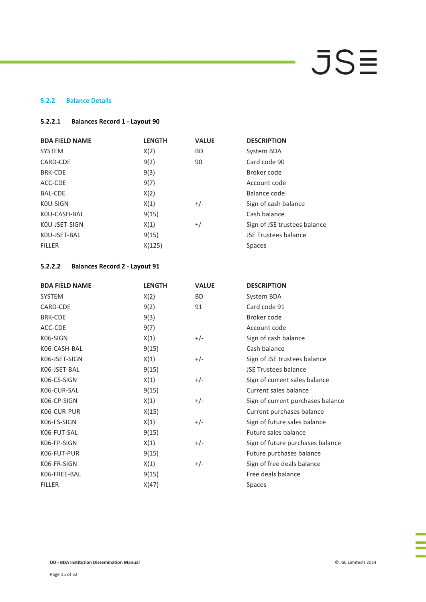### **5.2.2 Balance Details**

### **5.2.2.1 Balances Record 1 - Layout 90**

| <b>BDA FIELD NAME</b> | <b>LENGTH</b> | <b>VALUE</b> | <b>DESCRIPTION</b>           |
|-----------------------|---------------|--------------|------------------------------|
| <b>SYSTEM</b>         | X(2)          | <b>BD</b>    | System BDA                   |
| CARD-CDE              | 9(2)          | 90           | Card code 90                 |
| <b>BRK-CDE</b>        | 9(3)          |              | Broker code                  |
| ACC-CDE               | 9(7)          |              | Account code                 |
| <b>BAL-CDE</b>        | X(2)          |              | Balance code                 |
| KOU-SIGN              | X(1)          | $+/-$        | Sign of cash balance         |
| KOU-CASH-BAL          | 9(15)         |              | Cash balance                 |
| KOU-JSET-SIGN         | X(1)          | $+/-$        | Sign of JSE trustees balance |
| KOU-JSET-BAL          | 9(15)         |              | <b>JSE Trustees balance</b>  |
| <b>FILLER</b>         | X(125)        |              | <b>Spaces</b>                |

### **5.2.2.2 Balances Record 2 - Layout 91**

| <b>BDA FIELD NAME</b> | <b>LENGTH</b> | <b>VALUE</b> | <b>DESCRIPTION</b>                |
|-----------------------|---------------|--------------|-----------------------------------|
| <b>SYSTEM</b>         | X(2)          | <b>BD</b>    | System BDA                        |
| CARD-CDE              | 9(2)          | 91           | Card code 91                      |
| <b>BRK-CDE</b>        | 9(3)          |              | Broker code                       |
| ACC-CDE               | 9(7)          |              | Account code                      |
| K06-SIGN              | X(1)          | $+/-$        | Sign of cash balance              |
| K06-CASH-BAL          | 9(15)         |              | Cash balance                      |
| K06-JSET-SIGN         | X(1)          | $+/-$        | Sign of JSE trustees balance      |
| K06-JSET-BAL          | 9(15)         |              | <b>JSE Trustees balance</b>       |
| K06-CS-SIGN           | X(1)          | $+/-$        | Sign of current sales balance     |
| K06-CUR-SAL           | 9(15)         |              | Current sales balance             |
| K06-CP-SIGN           | X(1)          | $+/-$        | Sign of current purchases balance |
| K06-CUR-PUR           | X(15)         |              | Current purchases balance         |
| K06-FS-SIGN           | X(1)          | $+/-$        | Sign of future sales balance      |
| K06-FUT-SAL           | 9(15)         |              | Future sales balance              |
| K06-FP-SIGN           | X(1)          | $+/-$        | Sign of future purchases balance  |
| K06-FUT-PUR           | 9(15)         |              | Future purchases balance          |
| K06-FR-SIGN           | X(1)          | $+/-$        | Sign of free deals balance        |
| K06-FREE-BAL          | 9(15)         |              | Free deals balance                |
| <b>FILLER</b>         | X(47)         |              | <b>Spaces</b>                     |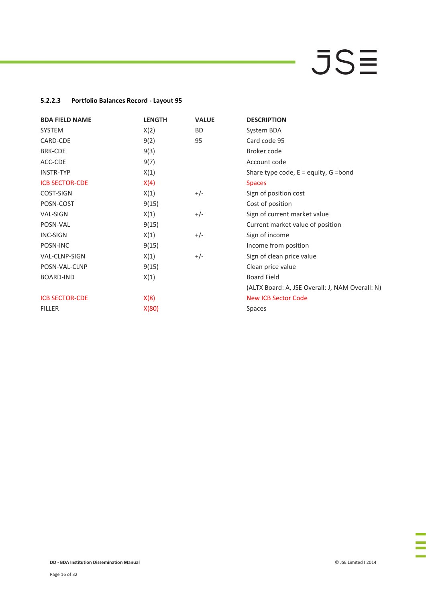### **5.2.2.3 Portfolio Balances Record - Layout 95**

| <b>BDA FIELD NAME</b> | <b>LENGTH</b> | <b>VALUE</b> | <b>DESCRIPTION</b>                              |
|-----------------------|---------------|--------------|-------------------------------------------------|
| SYSTEM                | X(2)          | <b>BD</b>    | System BDA                                      |
| CARD-CDE              | 9(2)          | 95           | Card code 95                                    |
| <b>BRK-CDE</b>        | 9(3)          |              | Broker code                                     |
| ACC-CDE               | 9(7)          |              | Account code                                    |
| <b>INSTR-TYP</b>      | X(1)          |              | Share type code, $E =$ equity, $G =$ bond       |
| <b>ICB SECTOR-CDE</b> | X(4)          |              | <b>Spaces</b>                                   |
| COST-SIGN             | X(1)          | $+/-$        | Sign of position cost                           |
| POSN-COST             | 9(15)         |              | Cost of position                                |
| <b>VAL-SIGN</b>       | X(1)          | $+/-$        | Sign of current market value                    |
| POSN-VAL              | 9(15)         |              | Current market value of position                |
| <b>INC-SIGN</b>       | X(1)          | $+/-$        | Sign of income                                  |
| POSN-INC              | 9(15)         |              | Income from position                            |
| VAL-CLNP-SIGN         | X(1)          | $+/-$        | Sign of clean price value                       |
| POSN-VAL-CLNP         | 9(15)         |              | Clean price value                               |
| <b>BOARD-IND</b>      | X(1)          |              | <b>Board Field</b>                              |
|                       |               |              | (ALTX Board: A, JSE Overall: J, NAM Overall: N) |
| <b>ICB SECTOR-CDE</b> | X(8)          |              | <b>New ICB Sector Code</b>                      |
| <b>FILLER</b>         | X(80)         |              | <b>Spaces</b>                                   |
|                       |               |              |                                                 |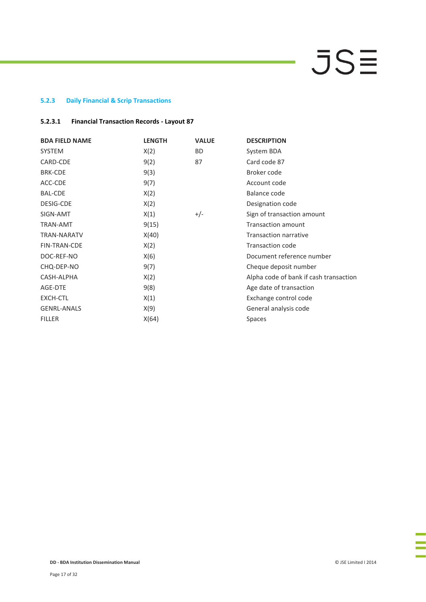### **5.2.3 Daily Financial & Scrip Transactions**

### **5.2.3.1 Financial Transaction Records - Layout 87**

| <b>BDA FIELD NAME</b> | <b>LENGTH</b> | <b>VALUE</b> | <b>DESCRIPTION</b>                     |
|-----------------------|---------------|--------------|----------------------------------------|
| <b>SYSTEM</b>         | X(2)          | BD.          | System BDA                             |
| CARD-CDE              | 9(2)          | 87           | Card code 87                           |
| <b>BRK-CDE</b>        | 9(3)          |              | Broker code                            |
| ACC-CDE               | 9(7)          |              | Account code                           |
| <b>BAL-CDE</b>        | X(2)          |              | Balance code                           |
| DESIG-CDE             | X(2)          |              | Designation code                       |
| SIGN-AMT              | X(1)          | $+/-$        | Sign of transaction amount             |
| <b>TRAN-AMT</b>       | 9(15)         |              | <b>Transaction amount</b>              |
| <b>TRAN-NARATV</b>    | X(40)         |              | <b>Transaction narrative</b>           |
| <b>FIN-TRAN-CDE</b>   | X(2)          |              | <b>Transaction code</b>                |
| DOC-REF-NO            | X(6)          |              | Document reference number              |
| CHQ-DEP-NO            | 9(7)          |              | Cheque deposit number                  |
| CASH-ALPHA            | X(2)          |              | Alpha code of bank if cash transaction |
| AGE-DTE               | 9(8)          |              | Age date of transaction                |
| EXCH-CTL              | X(1)          |              | Exchange control code                  |
| <b>GENRL-ANALS</b>    | X(9)          |              | General analysis code                  |
| <b>FILLER</b>         | X(64)         |              | <b>Spaces</b>                          |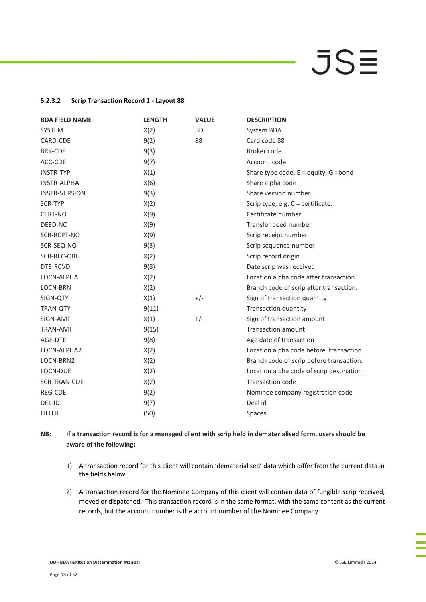### **5.2.3.2 Scrip Transaction Record 1 - Layout 88**

| <b>BDA FIELD NAME</b> | <b>LENGTH</b> | <b>VALUE</b> | <b>DESCRIPTION</b>                        |
|-----------------------|---------------|--------------|-------------------------------------------|
| <b>SYSTEM</b>         | X(2)          | <b>BD</b>    | System BDA                                |
| CARD-CDE              | 9(2)          | 88           | Card code 88                              |
| <b>BRK-CDE</b>        | 9(3)          |              | Broker code                               |
| ACC-CDE               | 9(7)          |              | Account code                              |
| <b>INSTR-TYP</b>      | X(1)          |              | Share type code, $E =$ equity, $G =$ bond |
| <b>INSTR-ALPHA</b>    | X(6)          |              | Share alpha code                          |
| <b>INSTR-VERSION</b>  | 9(3)          |              | Share version number                      |
| <b>SCR-TYP</b>        | X(2)          |              | Scrip type, e.g. C = certificate.         |
| CERT-NO               | X(9)          |              | Certificate number                        |
| DEED-NO               | X(9)          |              | Transfer deed number                      |
| SCR-RCPT-NO           | X(9)          |              | Scrip receipt number                      |
| SCR-SEQ-NO            | 9(3)          |              | Scrip sequence number                     |
| SCR-REC-ORG           | X(2)          |              | Scrip record origin                       |
| DTE-RCVD              | 9(8)          |              | Date scrip was received                   |
| LOCN-ALPHA            | X(2)          |              | Location alpha code after transaction     |
| <b>LOCN-BRN</b>       | X(2)          |              | Branch code of scrip after transaction.   |
| SIGN-QTY              | X(1)          | $+/-$        | Sign of transaction quantity              |
| <b>TRAN-QTY</b>       | 9(11)         |              | <b>Transaction quantity</b>               |
| SIGN-AMT              | X(1)          | $+/-$        | Sign of transaction amount                |
| <b>TRAN-AMT</b>       | 9(15)         |              | <b>Transaction amount</b>                 |
| AGE-DTE               | 9(8)          |              | Age date of transaction                   |
| LOCN-ALPHA2           | X(2)          |              | Location alpha code before transaction.   |
| LOCN-BRN2             | X(2)          |              | Branch code of scrip before transaction.  |
| LOCN-DUE              | X(2)          |              | Location alpha code of scrip destination. |
| SCR-TRAN-CDE          | X(2)          |              | <b>Transaction code</b>                   |
| REG-CDE               | 9(2)          |              | Nominee company registration code         |
| DEL-ID                | 9(7)          |              | Deal id                                   |
| <b>FILLER</b>         | (50)          |              | Spaces                                    |

**NB: If a transaction record is for a managed client with scrip held in dematerialised form, users should be aware of the following:**

- 1) A transaction record for this client will contain 'dematerialised' data which differ from the current data in the fields below.
- 2) A transaction record for the Nominee Company of this client will contain data of fungible scrip received, moved or dispatched. This transaction record is in the same format, with the same content as the current records, but the account number is the account number of the Nominee Company.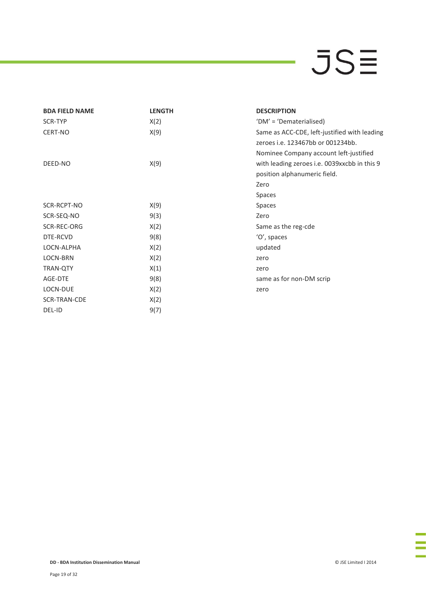| <b>BDA FIELD NAME</b> | <b>LENGTH</b> | <b>DESCRIPTION</b>                           |
|-----------------------|---------------|----------------------------------------------|
| SCR-TYP               | X(2)          | 'DM' = 'Dematerialised)                      |
| CERT-NO               | X(9)          | Same as ACC-CDE, left-justified with leading |
|                       |               | zeroes i.e. 123467bb or 001234bb.            |
|                       |               | Nominee Company account left-justified       |
| DEED-NO               | X(9)          | with leading zeroes i.e. 0039xxcbb in this 9 |
|                       |               | position alphanumeric field.                 |
|                       |               | Zero                                         |
|                       |               | Spaces                                       |
| SCR-RCPT-NO           | X(9)          | Spaces                                       |
| SCR-SEQ-NO            | 9(3)          | Zero                                         |
| SCR-REC-ORG           | X(2)          | Same as the reg-cde                          |
| DTE-RCVD              | 9(8)          | 'O', spaces                                  |
| LOCN-ALPHA            | X(2)          | updated                                      |
| LOCN-BRN              | X(2)          | zero                                         |
| <b>TRAN-QTY</b>       | X(1)          | zero                                         |
| AGE-DTE               | 9(8)          | same as for non-DM scrip                     |
| LOCN-DUE              | X(2)          | zero                                         |
| SCR-TRAN-CDE          | X(2)          |                                              |
| DEL-ID                | 9(7)          |                                              |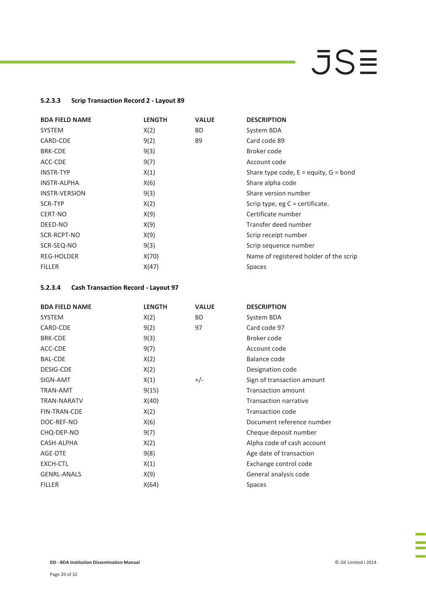### **5.2.3.3 Scrip Transaction Record 2 - Layout 89**

| <b>BDA FIELD NAME</b> | <b>LENGTH</b> | <b>VALUE</b> | <b>DESCRIPTION</b>                        |
|-----------------------|---------------|--------------|-------------------------------------------|
| <b>SYSTEM</b>         | X(2)          | BD.          | System BDA                                |
| CARD-CDE              | 9(2)          | 89           | Card code 89                              |
| <b>BRK-CDE</b>        | 9(3)          |              | Broker code                               |
| ACC-CDE               | 9(7)          |              | Account code                              |
| <b>INSTR-TYP</b>      | X(1)          |              | Share type code, $E =$ equity, $G =$ bond |
| <b>INSTR-ALPHA</b>    | X(6)          |              | Share alpha code                          |
| <b>INSTR-VERSION</b>  | 9(3)          |              | Share version number                      |
| SCR-TYP               | X(2)          |              | Scrip type, eg $C$ = certificate.         |
| CERT-NO               | X(9)          |              | Certificate number                        |
| DEED-NO               | X(9)          |              | Transfer deed number                      |
| SCR-RCPT-NO           | X(9)          |              | Scrip receipt number                      |
| SCR-SEQ-NO            | 9(3)          |              | Scrip sequence number                     |
| <b>REG-HOLDER</b>     | X(70)         |              | Name of registered holder of the scrip    |
| <b>FILLER</b>         | X(47)         |              | <b>Spaces</b>                             |

### **5.2.3.4 Cash Transaction Record - Layout 97**

| <b>BDA FIELD NAME</b> | <b>LENGTH</b> | <b>VALUE</b> | <b>DESCRIPTION</b>           |
|-----------------------|---------------|--------------|------------------------------|
| <b>SYSTEM</b>         | X(2)          | <b>BD</b>    | System BDA                   |
| CARD-CDE              | 9(2)          | 97           | Card code 97                 |
| <b>BRK-CDE</b>        | 9(3)          |              | Broker code                  |
| ACC-CDE               | 9(7)          |              | Account code                 |
| <b>BAL-CDE</b>        | X(2)          |              | Balance code                 |
| <b>DESIG-CDE</b>      | X(2)          |              | Designation code             |
| SIGN-AMT              | X(1)          | $+/-$        | Sign of transaction amount   |
| <b>TRAN-AMT</b>       | 9(15)         |              | <b>Transaction amount</b>    |
| <b>TRAN-NARATV</b>    | X(40)         |              | <b>Transaction narrative</b> |
| <b>FIN-TRAN-CDE</b>   | X(2)          |              | <b>Transaction code</b>      |
| DOC-REF-NO            | X(6)          |              | Document reference number    |
| CHQ-DEP-NO            | 9(7)          |              | Cheque deposit number        |
| CASH-ALPHA            | X(2)          |              | Alpha code of cash account   |
| AGE-DTE               | 9(8)          |              | Age date of transaction      |
| EXCH-CTL              | X(1)          |              | Exchange control code        |
| <b>GENRL-ANALS</b>    | X(9)          |              | General analysis code        |
| <b>FILLER</b>         | X(64)         |              | Spaces                       |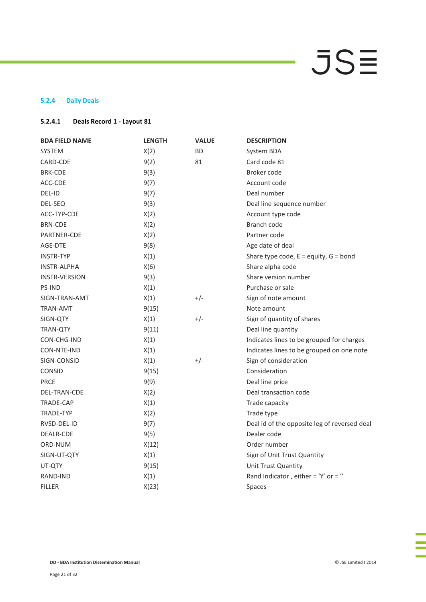### **5.2.4 Daily Deals**

### **5.2.4.1 Deals Record 1 - Layout 81**

| <b>BDA FIELD NAME</b> | <b>LENGTH</b> | <b>VALUE</b> | <b>DESCRIPTION</b>                           |
|-----------------------|---------------|--------------|----------------------------------------------|
| <b>SYSTEM</b>         | X(2)          | <b>BD</b>    | System BDA                                   |
| CARD-CDE              | 9(2)          | 81           | Card code 81                                 |
| <b>BRK-CDE</b>        | 9(3)          |              | Broker code                                  |
| ACC-CDE               | 9(7)          |              | Account code                                 |
| DEL-ID                | 9(7)          |              | Deal number                                  |
| DEL-SEQ               | 9(3)          |              | Deal line sequence number                    |
| ACC-TYP-CDE           | X(2)          |              | Account type code                            |
| <b>BRN-CDE</b>        | X(2)          |              | Branch code                                  |
| PARTNER-CDE           | X(2)          |              | Partner code                                 |
| AGE-DTE               | 9(8)          |              | Age date of deal                             |
| <b>INSTR-TYP</b>      | X(1)          |              | Share type code, $E =$ equity, $G =$ bond    |
| <b>INSTR-ALPHA</b>    | X(6)          |              | Share alpha code                             |
| <b>INSTR-VERSION</b>  | 9(3)          |              | Share version number                         |
| <b>PS-IND</b>         | X(1)          |              | Purchase or sale                             |
| SIGN-TRAN-AMT         | X(1)          | $+/-$        | Sign of note amount                          |
| TRAN-AMT              | 9(15)         |              | Note amount                                  |
| SIGN-QTY              | X(1)          | $+/-$        | Sign of quantity of shares                   |
| <b>TRAN-QTY</b>       | 9(11)         |              | Deal line quantity                           |
| CON-CHG-IND           | X(1)          |              | Indicates lines to be grouped for charges    |
| CON-NTE-IND           | X(1)          |              | Indicates lines to be grouped on one note    |
| SIGN-CONSID           | X(1)          | $+/-$        | Sign of consideration                        |
| <b>CONSID</b>         | 9(15)         |              | Consideration                                |
| <b>PRCE</b>           | 9(9)          |              | Deal line price                              |
| DEL-TRAN-CDE          | X(2)          |              | Deal transaction code                        |
| TRADE-CAP             | X(1)          |              | Trade capacity                               |
| <b>TRADE-TYP</b>      | X(2)          |              | Trade type                                   |
| RVSD-DEL-ID           | 9(7)          |              | Deal id of the opposite leg of reversed deal |
| DEALR-CDE             | 9(5)          |              | Dealer code                                  |
| ORD-NUM               | X(12)         |              | Order number                                 |
| SIGN-UT-QTY           | X(1)          |              | Sign of Unit Trust Quantity                  |
| UT-QTY                | 9(15)         |              | Unit Trust Quantity                          |
| RAND-IND              | X(1)          |              | Rand Indicator, either = 'Y' or = "          |
| <b>FILLER</b>         | X(23)         |              | Spaces                                       |

l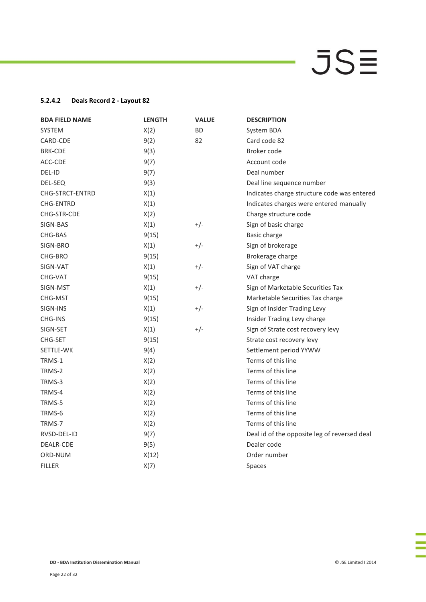### **5.2.4.2 Deals Record 2 - Layout 82**

| <b>BDA FIELD NAME</b> | <b>LENGTH</b> | <b>VALUE</b> | <b>DESCRIPTION</b>                           |
|-----------------------|---------------|--------------|----------------------------------------------|
| <b>SYSTEM</b>         | X(2)          | <b>BD</b>    | System BDA                                   |
| CARD-CDE              | 9(2)          | 82           | Card code 82                                 |
| <b>BRK-CDE</b>        | 9(3)          |              | Broker code                                  |
| ACC-CDE               | 9(7)          |              | Account code                                 |
| DEL-ID                | 9(7)          |              | Deal number                                  |
| DEL-SEQ               | 9(3)          |              | Deal line sequence number                    |
| CHG-STRCT-ENTRD       | X(1)          |              | Indicates charge structure code was entered  |
| <b>CHG-ENTRD</b>      | X(1)          |              | Indicates charges were entered manually      |
| CHG-STR-CDE           | X(2)          |              | Charge structure code                        |
| SIGN-BAS              | X(1)          | $+/-$        | Sign of basic charge                         |
| CHG-BAS               | 9(15)         |              | Basic charge                                 |
| SIGN-BRO              | X(1)          | $+/-$        | Sign of brokerage                            |
| CHG-BRO               | 9(15)         |              | Brokerage charge                             |
| SIGN-VAT              | X(1)          | $+/-$        | Sign of VAT charge                           |
| CHG-VAT               | 9(15)         |              | VAT charge                                   |
| SIGN-MST              | X(1)          | $+/-$        | Sign of Marketable Securities Tax            |
| CHG-MST               | 9(15)         |              | Marketable Securities Tax charge             |
| SIGN-INS              | X(1)          | $+/-$        | Sign of Insider Trading Levy                 |
| <b>CHG-INS</b>        | 9(15)         |              | Insider Trading Levy charge                  |
| SIGN-SET              | X(1)          | $+/-$        | Sign of Strate cost recovery levy            |
| CHG-SET               | 9(15)         |              | Strate cost recovery levy                    |
| SETTLE-WK             | 9(4)          |              | Settlement period YYWW                       |
| TRMS-1                | X(2)          |              | Terms of this line                           |
| TRMS-2                | X(2)          |              | Terms of this line                           |
| TRMS-3                | X(2)          |              | Terms of this line                           |
| TRMS-4                | X(2)          |              | Terms of this line                           |
| TRMS-5                | X(2)          |              | Terms of this line                           |
| TRMS-6                | X(2)          |              | Terms of this line                           |
| TRMS-7                | X(2)          |              | Terms of this line                           |
| RVSD-DEL-ID           | 9(7)          |              | Deal id of the opposite leg of reversed deal |
| DEALR-CDE             | 9(5)          |              | Dealer code                                  |
| ORD-NUM               | X(12)         |              | Order number                                 |
| <b>FILLER</b>         | X(7)          |              | Spaces                                       |

E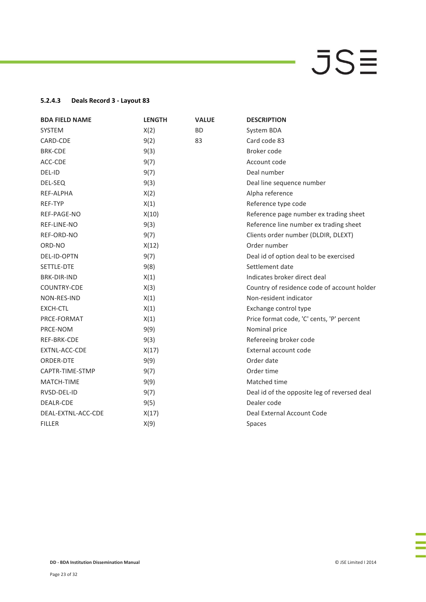### **5.2.4.3 Deals Record 3 - Layout 83**

| <b>BDA FIELD NAME</b> | <b>LENGTH</b> | <b>VALUE</b> | <b>DESCRIPTION</b>                           |
|-----------------------|---------------|--------------|----------------------------------------------|
| <b>SYSTEM</b>         | X(2)          | <b>BD</b>    | System BDA                                   |
| CARD-CDE              | 9(2)          | 83           | Card code 83                                 |
| <b>BRK-CDE</b>        | 9(3)          |              | Broker code                                  |
| ACC-CDE               | 9(7)          |              | Account code                                 |
| DEL-ID                | 9(7)          |              | Deal number                                  |
| DEL-SEQ               | 9(3)          |              | Deal line sequence number                    |
| REF-ALPHA             | X(2)          |              | Alpha reference                              |
| <b>REF-TYP</b>        | X(1)          |              | Reference type code                          |
| REF-PAGE-NO           | X(10)         |              | Reference page number ex trading sheet       |
| REF-LINE-NO           | 9(3)          |              | Reference line number ex trading sheet       |
| REF-ORD-NO            | 9(7)          |              | Clients order number (DLDIR, DLEXT)          |
| ORD-NO                | X(12)         |              | Order number                                 |
| <b>DEL-ID-OPTN</b>    | 9(7)          |              | Deal id of option deal to be exercised       |
| SETTLE-DTE            | 9(8)          |              | Settlement date                              |
| <b>BRK-DIR-IND</b>    | X(1)          |              | Indicates broker direct deal                 |
| COUNTRY-CDE           | X(3)          |              | Country of residence code of account holder  |
| NON-RES-IND           | X(1)          |              | Non-resident indicator                       |
| <b>EXCH-CTL</b>       | X(1)          |              | Exchange control type                        |
| PRCE-FORMAT           | X(1)          |              | Price format code, 'C' cents, 'P' percent    |
| PRCE-NOM              | 9(9)          |              | Nominal price                                |
| REF-BRK-CDE           | 9(3)          |              | Refereeing broker code                       |
| EXTNL-ACC-CDE         | X(17)         |              | External account code                        |
| ORDER-DTE             | 9(9)          |              | Order date                                   |
| CAPTR-TIME-STMP       | 9(7)          |              | Order time                                   |
| MATCH-TIME            | 9(9)          |              | Matched time                                 |
| RVSD-DEL-ID           | 9(7)          |              | Deal id of the opposite leg of reversed deal |
| DEALR-CDE             | 9(5)          |              | Dealer code                                  |
| DEAL-EXTNL-ACC-CDE    | X(17)         |              | Deal External Account Code                   |
| <b>FILLER</b>         | X(9)          |              | Spaces                                       |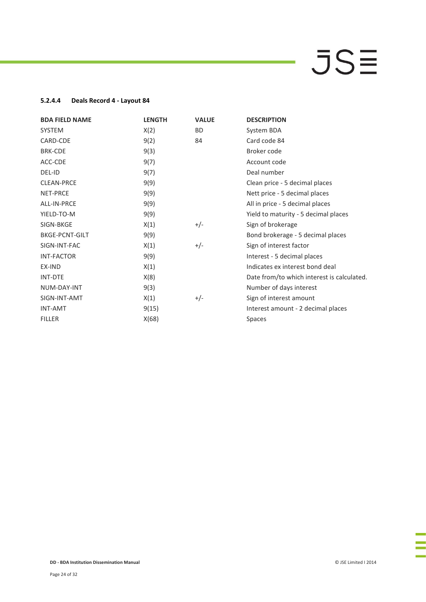### **5.2.4.4 Deals Record 4 - Layout 84**

| <b>BDA FIELD NAME</b> | <b>LENGTH</b> | <b>VALUE</b> | <b>DESCRIPTION</b>                         |
|-----------------------|---------------|--------------|--------------------------------------------|
| <b>SYSTEM</b>         | X(2)          | <b>BD</b>    | System BDA                                 |
| CARD-CDE              | 9(2)          | 84           | Card code 84                               |
| <b>BRK-CDE</b>        | 9(3)          |              | Broker code                                |
| ACC-CDE               | 9(7)          |              | Account code                               |
| DEL-ID                | 9(7)          |              | Deal number                                |
| <b>CLEAN-PRCE</b>     | 9(9)          |              | Clean price - 5 decimal places             |
| NET-PRCE              | 9(9)          |              | Nett price - 5 decimal places              |
| ALL-IN-PRCE           | 9(9)          |              | All in price - 5 decimal places            |
| YIELD-TO-M            | 9(9)          |              | Yield to maturity - 5 decimal places       |
| SIGN-BKGE             | X(1)          | $+/-$        | Sign of brokerage                          |
| <b>BKGE-PCNT-GILT</b> | 9(9)          |              | Bond brokerage - 5 decimal places          |
| SIGN-INT-FAC          | X(1)          | $+/-$        | Sign of interest factor                    |
| <b>INT-FACTOR</b>     | 9(9)          |              | Interest - 5 decimal places                |
| EX-IND                | X(1)          |              | Indicates ex interest bond deal            |
| <b>INT-DTE</b>        | X(8)          |              | Date from/to which interest is calculated. |
| NUM-DAY-INT           | 9(3)          |              | Number of days interest                    |
| SIGN-INT-AMT          | X(1)          | $+/-$        | Sign of interest amount                    |
| <b>INT-AMT</b>        | 9(15)         |              | Interest amount - 2 decimal places         |
| <b>FILLER</b>         | X(68)         |              | <b>Spaces</b>                              |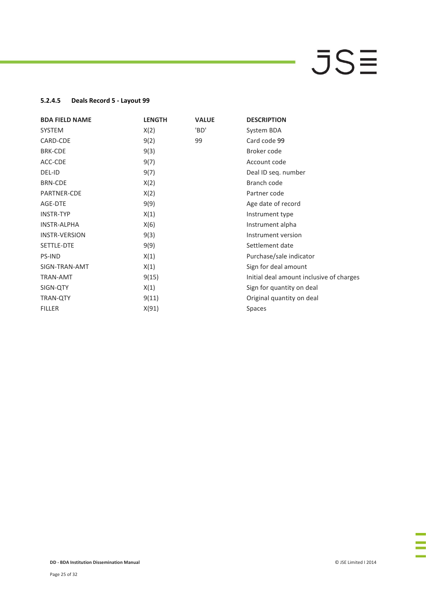### **5.2.4.5 Deals Record 5 - Layout 99**

| <b>BDA FIELD NAME</b> | <b>LENGTH</b> | <b>VALUE</b> | <b>DESCRIPTION</b>                       |
|-----------------------|---------------|--------------|------------------------------------------|
| <b>SYSTEM</b>         | X(2)          | 'BD'         | System BDA                               |
| CARD-CDE              | 9(2)          | 99           | Card code 99                             |
| <b>BRK-CDE</b>        | 9(3)          |              | Broker code                              |
| ACC-CDE               | 9(7)          |              | Account code                             |
| DEL-ID                | 9(7)          |              | Deal ID seq. number                      |
| <b>BRN-CDE</b>        | X(2)          |              | Branch code                              |
| PARTNER-CDE           | X(2)          |              | Partner code                             |
| AGE-DTE               | 9(9)          |              | Age date of record                       |
| <b>INSTR-TYP</b>      | X(1)          |              | Instrument type                          |
| <b>INSTR-ALPHA</b>    | X(6)          |              | Instrument alpha                         |
| <b>INSTR-VERSION</b>  | 9(3)          |              | Instrument version                       |
| SETTLE-DTE            | 9(9)          |              | Settlement date                          |
| <b>PS-IND</b>         | X(1)          |              | Purchase/sale indicator                  |
| SIGN-TRAN-AMT         | X(1)          |              | Sign for deal amount                     |
| <b>TRAN-AMT</b>       | 9(15)         |              | Initial deal amount inclusive of charges |
| SIGN-QTY              | X(1)          |              | Sign for quantity on deal                |
| <b>TRAN-QTY</b>       | 9(11)         |              | Original quantity on deal                |
| <b>FILLER</b>         | X(91)         |              | Spaces                                   |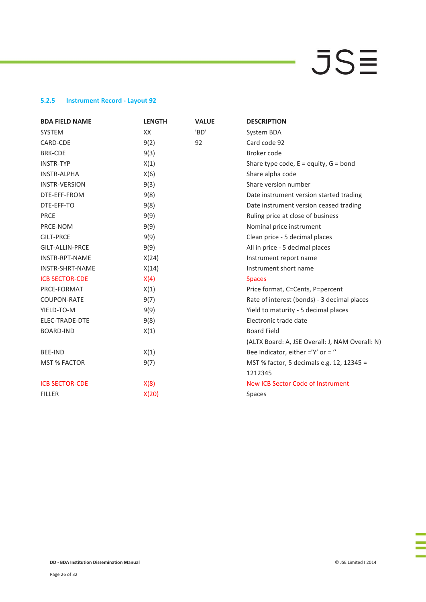### **5.2.5 Instrument Record - Layout 92**

| <b>BDA FIELD NAME</b>  | <b>LENGTH</b> | <b>VALUE</b> | <b>DESCRIPTION</b>                              |
|------------------------|---------------|--------------|-------------------------------------------------|
| <b>SYSTEM</b>          | XX            | 'BD'         | System BDA                                      |
| CARD-CDE               | 9(2)          | 92           | Card code 92                                    |
| <b>BRK-CDE</b>         | 9(3)          |              | Broker code                                     |
| <b>INSTR-TYP</b>       | X(1)          |              | Share type code, $E =$ equity, $G =$ bond       |
| <b>INSTR-ALPHA</b>     | X(6)          |              | Share alpha code                                |
| <b>INSTR-VERSION</b>   | 9(3)          |              | Share version number                            |
| DTE-EFF-FROM           | 9(8)          |              | Date instrument version started trading         |
| DTE-EFF-TO             | 9(8)          |              | Date instrument version ceased trading          |
| <b>PRCE</b>            | 9(9)          |              | Ruling price at close of business               |
| PRCE-NOM               | 9(9)          |              | Nominal price instrument                        |
| <b>GILT-PRCE</b>       | 9(9)          |              | Clean price - 5 decimal places                  |
| <b>GILT-ALLIN-PRCE</b> | 9(9)          |              | All in price - 5 decimal places                 |
| <b>INSTR-RPT-NAME</b>  | X(24)         |              | Instrument report name                          |
| <b>INSTR-SHRT-NAME</b> | X(14)         |              | Instrument short name                           |
| <b>ICB SECTOR-CDE</b>  | X(4)          |              | <b>Spaces</b>                                   |
| PRCE-FORMAT            | X(1)          |              | Price format, C=Cents, P=percent                |
| <b>COUPON-RATE</b>     | 9(7)          |              | Rate of interest (bonds) - 3 decimal places     |
| YIELD-TO-M             | 9(9)          |              | Yield to maturity - 5 decimal places            |
| ELEC-TRADE-DTE         | 9(8)          |              | Electronic trade date                           |
| <b>BOARD-IND</b>       | X(1)          |              | <b>Board Field</b>                              |
|                        |               |              | (ALTX Board: A, JSE Overall: J, NAM Overall: N) |
| <b>BEE-IND</b>         | X(1)          |              | Bee Indicator, either $=$ 'Y' or $=$ "          |
| <b>MST % FACTOR</b>    | 9(7)          |              | MST % factor, 5 decimals e.g. 12, 12345 =       |
|                        |               |              | 1212345                                         |
| <b>ICB SECTOR-CDE</b>  | X(8)          |              | New ICB Sector Code of Instrument               |
| <b>FILLER</b>          | X(20)         |              | <b>Spaces</b>                                   |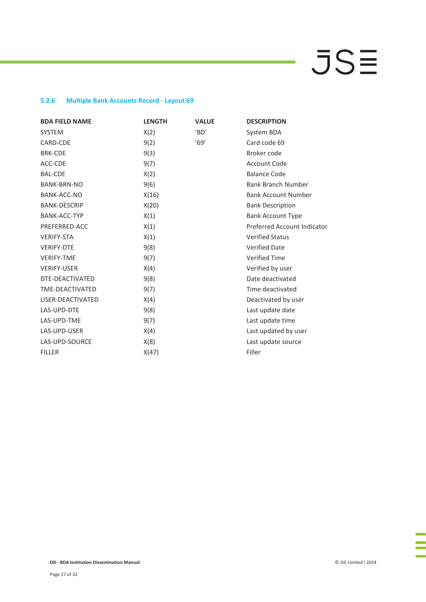### **5.2.6 Multiple Bank Accounts Record - Layout 69**

| <b>BDA FIELD NAME</b> | <b>LENGTH</b> | <b>VALUE</b> | <b>DESCRIPTION</b>          |
|-----------------------|---------------|--------------|-----------------------------|
| <b>SYSTEM</b>         | X(2)          | 'BD'         | System BDA                  |
| CARD-CDE              | 9(2)          | '69'         | Card code 69                |
| <b>BRK-CDE</b>        | 9(3)          |              | Broker code                 |
| ACC-CDE               | 9(7)          |              | <b>Account Code</b>         |
| <b>BAL-CDE</b>        | X(2)          |              | <b>Balance Code</b>         |
| <b>BANK-BRN-NO</b>    | 9(6)          |              | <b>Bank Branch Number</b>   |
| BANK-ACC-NO           | X(16)         |              | <b>Bank Account Number</b>  |
| <b>BANK-DESCRIP</b>   | X(20)         |              | <b>Bank Description</b>     |
| <b>BANK-ACC-TYP</b>   | X(1)          |              | <b>Bank Account Type</b>    |
| PREFERRED-ACC         | X(1)          |              | Preferred Account Indicator |
| <b>VERIFY-STA</b>     | X(1)          |              | <b>Verified Status</b>      |
| <b>VERIFY-DTE</b>     | 9(8)          |              | <b>Verified Date</b>        |
| <b>VERIFY-TME</b>     | 9(7)          |              | <b>Verified Time</b>        |
| <b>VERIFY-USER</b>    | X(4)          |              | Verified by user            |
| DTE-DEACTIVATED       | 9(8)          |              | Date deactivated            |
| TME-DEACTIVATED       | 9(7)          |              | Time deactivated            |
| USER-DEACTIVATED      | X(4)          |              | Deactivated by user         |
| LAS-UPD-DTE           | 9(8)          |              | Last update date            |
| LAS-UPD-TME           | 9(7)          |              | Last update time            |
| LAS-UPD-USER          | X(4)          |              | Last updated by user        |
| LAS-UPD-SOURCE        | X(8)          |              | Last update source          |
| <b>FILLER</b>         | X(47)         |              | Filler                      |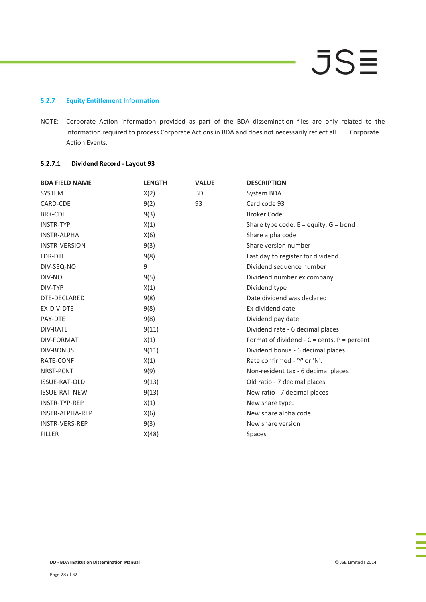### **5.2.7 Equity Entitlement Information**

NOTE: Corporate Action information provided as part of the BDA dissemination files are only related to the information required to process Corporate Actions in BDA and does not necessarily reflect all Corporate Action Events.

### **5.2.7.1 Dividend Record - Layout 93**

| <b>BDA FIELD NAME</b>  | <b>LENGTH</b> | <b>VALUE</b> | <b>DESCRIPTION</b>                                    |
|------------------------|---------------|--------------|-------------------------------------------------------|
| <b>SYSTEM</b>          | X(2)          | <b>BD</b>    | System BDA                                            |
| CARD-CDE               | 9(2)          | 93           | Card code 93                                          |
| <b>BRK-CDE</b>         | 9(3)          |              | <b>Broker Code</b>                                    |
| <b>INSTR-TYP</b>       | X(1)          |              | Share type code, $E =$ equity, $G =$ bond             |
| <b>INSTR-ALPHA</b>     | X(6)          |              | Share alpha code                                      |
| <b>INSTR-VERSION</b>   | 9(3)          |              | Share version number                                  |
| LDR-DTE                | 9(8)          |              | Last day to register for dividend                     |
| DIV-SEQ-NO             | 9             |              | Dividend sequence number                              |
| DIV-NO                 | 9(5)          |              | Dividend number ex company                            |
| DIV-TYP                | X(1)          |              | Dividend type                                         |
| DTE-DECLARED           | 9(8)          |              | Date dividend was declared                            |
| EX-DIV-DTE             | 9(8)          |              | Ex-dividend date                                      |
| PAY-DTE                | 9(8)          |              | Dividend pay date                                     |
| <b>DIV-RATE</b>        | 9(11)         |              | Dividend rate - 6 decimal places                      |
| <b>DIV-FORMAT</b>      | X(1)          |              | Format of dividend - $C = \text{cents}$ , P = percent |
| <b>DIV-BONUS</b>       | 9(11)         |              | Dividend bonus - 6 decimal places                     |
| RATE-CONF              | X(1)          |              | Rate confirmed - 'Y' or 'N'.                          |
| NRST-PCNT              | 9(9)          |              | Non-resident tax - 6 decimal places                   |
| <b>ISSUE-RAT-OLD</b>   | 9(13)         |              | Old ratio - 7 decimal places                          |
| <b>ISSUE-RAT-NEW</b>   | 9(13)         |              | New ratio - 7 decimal places                          |
| INSTR-TYP-REP          | X(1)          |              | New share type.                                       |
| <b>INSTR-ALPHA-REP</b> | X(6)          |              | New share alpha code.                                 |
| <b>INSTR-VERS-REP</b>  | 9(3)          |              | New share version                                     |
| <b>FILLER</b>          | X(48)         |              | Spaces                                                |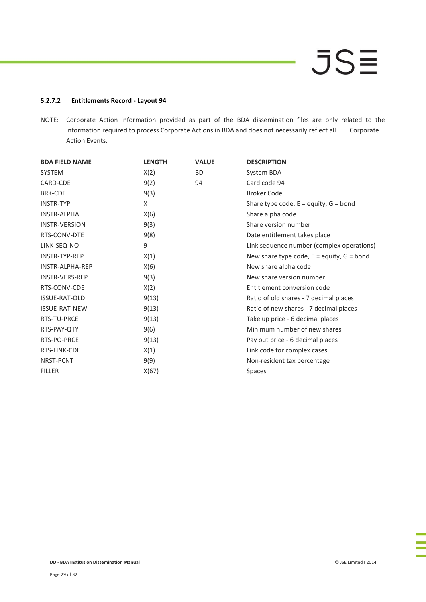### **5.2.7.2 Entitlements Record - Layout 94**

NOTE: Corporate Action information provided as part of the BDA dissemination files are only related to the information required to process Corporate Actions in BDA and does not necessarily reflect all Corporate Action Events.

| <b>BDA FIELD NAME</b> | <b>LENGTH</b> | <b>VALUE</b> | <b>DESCRIPTION</b>                            |
|-----------------------|---------------|--------------|-----------------------------------------------|
| <b>SYSTEM</b>         | X(2)          | <b>BD</b>    | System BDA                                    |
| CARD-CDE              | 9(2)          | 94           | Card code 94                                  |
| <b>BRK-CDE</b>        | 9(3)          |              | <b>Broker Code</b>                            |
| <b>INSTR-TYP</b>      | X             |              | Share type code, $E =$ equity, $G =$ bond     |
| <b>INSTR-ALPHA</b>    | X(6)          |              | Share alpha code                              |
| <b>INSTR-VERSION</b>  | 9(3)          |              | Share version number                          |
| RTS-CONV-DTE          | 9(8)          |              | Date entitlement takes place                  |
| LINK-SEQ-NO           | 9             |              | Link sequence number (complex operations)     |
| <b>INSTR-TYP-REP</b>  | X(1)          |              | New share type code, $E =$ equity, $G =$ bond |
| INSTR-ALPHA-REP       | X(6)          |              | New share alpha code                          |
| INSTR-VERS-REP        | 9(3)          |              | New share version number                      |
| RTS-CONV-CDE          | X(2)          |              | Entitlement conversion code                   |
| <b>ISSUE-RAT-OLD</b>  | 9(13)         |              | Ratio of old shares - 7 decimal places        |
| <b>ISSUE-RAT-NEW</b>  | 9(13)         |              | Ratio of new shares - 7 decimal places        |
| RTS-TU-PRCE           | 9(13)         |              | Take up price - 6 decimal places              |
| RTS-PAY-QTY           | 9(6)          |              | Minimum number of new shares                  |
| RTS-PO-PRCE           | 9(13)         |              | Pay out price - 6 decimal places              |
| RTS-LINK-CDE          | X(1)          |              | Link code for complex cases                   |
| NRST-PCNT             | 9(9)          |              | Non-resident tax percentage                   |
| <b>FILLER</b>         | X(67)         |              | Spaces                                        |

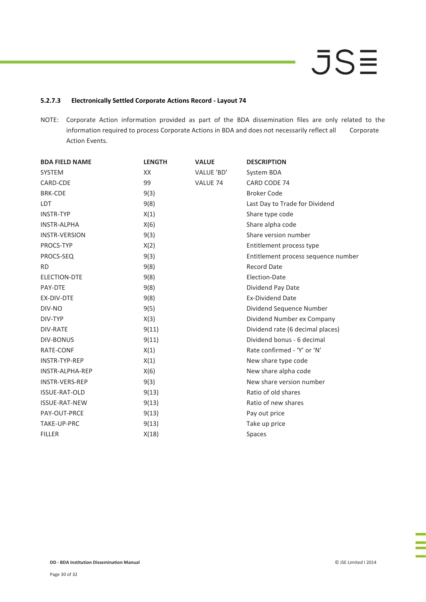### **5.2.7.3 Electronically Settled Corporate Actions Record - Layout 74**

NOTE: Corporate Action information provided as part of the BDA dissemination files are only related to the information required to process Corporate Actions in BDA and does not necessarily reflect all Corporate Action Events.

| <b>BDA FIELD NAME</b>  | <b>LENGTH</b> | <b>VALUE</b> | <b>DESCRIPTION</b>                  |
|------------------------|---------------|--------------|-------------------------------------|
| <b>SYSTEM</b>          | XX            | VALUE 'BD'   | System BDA                          |
| CARD-CDE               | 99            | VALUE 74     | CARD CODE 74                        |
| <b>BRK-CDE</b>         | 9(3)          |              | <b>Broker Code</b>                  |
| <b>LDT</b>             | 9(8)          |              | Last Day to Trade for Dividend      |
| <b>INSTR-TYP</b>       | X(1)          |              | Share type code                     |
| <b>INSTR-ALPHA</b>     | X(6)          |              | Share alpha code                    |
| <b>INSTR-VERSION</b>   | 9(3)          |              | Share version number                |
| PROCS-TYP              | X(2)          |              | Entitlement process type            |
| PROCS-SEQ              | 9(3)          |              | Entitlement process sequence number |
| <b>RD</b>              | 9(8)          |              | <b>Record Date</b>                  |
| ELECTION-DTE           | 9(8)          |              | Election-Date                       |
| PAY-DTE                | 9(8)          |              | Dividend Pay Date                   |
| EX-DIV-DTE             | 9(8)          |              | <b>Ex-Dividend Date</b>             |
| DIV-NO                 | 9(5)          |              | Dividend Sequence Number            |
| DIV-TYP                | X(3)          |              | Dividend Number ex Company          |
| DIV-RATE               | 9(11)         |              | Dividend rate (6 decimal places)    |
| <b>DIV-BONUS</b>       | 9(11)         |              | Dividend bonus - 6 decimal          |
| RATE-CONF              | X(1)          |              | Rate confirmed - 'Y' or 'N'         |
| INSTR-TYP-REP          | X(1)          |              | New share type code                 |
| <b>INSTR-ALPHA-REP</b> | X(6)          |              | New share alpha code                |
| <b>INSTR-VERS-REP</b>  | 9(3)          |              | New share version number            |
| ISSUE-RAT-OLD          | 9(13)         |              | Ratio of old shares                 |
| <b>ISSUE-RAT-NEW</b>   | 9(13)         |              | Ratio of new shares                 |
| PAY-OUT-PRCE           | 9(13)         |              | Pay out price                       |
| TAKE-UP-PRC            | 9(13)         |              | Take up price                       |
| <b>FILLER</b>          | X(18)         |              | Spaces                              |

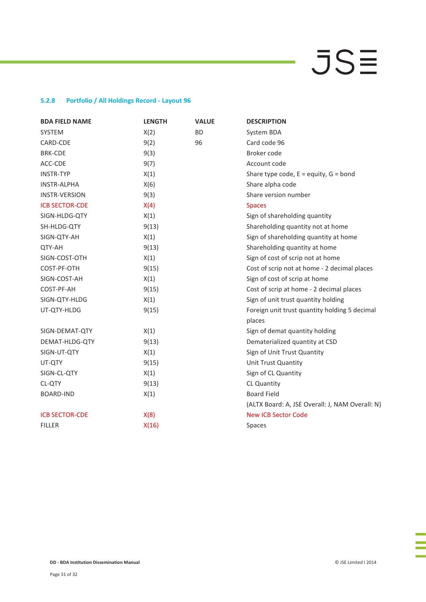### **5.2.8 Portfolio / All Holdings Record - Layout 96**

| <b>BDA FIELD NAME</b> | <b>LENGTH</b> | <b>VALUE</b> | <b>DESCRIPTION</b>                              |
|-----------------------|---------------|--------------|-------------------------------------------------|
| <b>SYSTEM</b>         | X(2)          | <b>BD</b>    | System BDA                                      |
| CARD-CDE              | 9(2)          | 96           | Card code 96                                    |
| <b>BRK-CDE</b>        | 9(3)          |              | Broker code                                     |
| ACC-CDE               | 9(7)          |              | Account code                                    |
| <b>INSTR-TYP</b>      | X(1)          |              | Share type code, $E =$ equity, $G =$ bond       |
| <b>INSTR-ALPHA</b>    | X(6)          |              | Share alpha code                                |
| <b>INSTR-VERSION</b>  | 9(3)          |              | Share version number                            |
| <b>ICB SECTOR-CDE</b> | X(4)          |              | <b>Spaces</b>                                   |
| SIGN-HLDG-QTY         | X(1)          |              | Sign of shareholding quantity                   |
| SH-HLDG-QTY           | 9(13)         |              | Shareholding quantity not at home               |
| SIGN-QTY-AH           | X(1)          |              | Sign of shareholding quantity at home           |
| QTY-AH                | 9(13)         |              | Shareholding quantity at home                   |
| SIGN-COST-OTH         | X(1)          |              | Sign of cost of scrip not at home               |
| COST-PF-OTH           | 9(15)         |              | Cost of scrip not at home - 2 decimal places    |
| SIGN-COST-AH          | X(1)          |              | Sign of cost of scrip at home                   |
| COST-PF-AH            | 9(15)         |              | Cost of scrip at home - 2 decimal places        |
| SIGN-QTY-HLDG         | X(1)          |              | Sign of unit trust quantity holding             |
| UT-QTY-HLDG           | 9(15)         |              | Foreign unit trust quantity holding 5 decimal   |
|                       |               |              | places                                          |
| SIGN-DEMAT-QTY        | X(1)          |              | Sign of demat quantity holding                  |
| DEMAT-HLDG-QTY        | 9(13)         |              | Dematerialized quantity at CSD                  |
| SIGN-UT-QTY           | X(1)          |              | Sign of Unit Trust Quantity                     |
| UT-QTY                | 9(15)         |              | Unit Trust Quantity                             |
| SIGN-CL-QTY           | X(1)          |              | Sign of CL Quantity                             |
| CL-QTY                | 9(13)         |              | <b>CL Quantity</b>                              |
| <b>BOARD-IND</b>      | X(1)          |              | <b>Board Field</b>                              |
|                       |               |              | (ALTX Board: A, JSE Overall: J, NAM Overall: N) |
| <b>ICB SECTOR-CDE</b> | X(8)          |              | <b>New ICB Sector Code</b>                      |
| <b>FILLER</b>         | X(16)         |              | Spaces                                          |
|                       |               |              |                                                 |